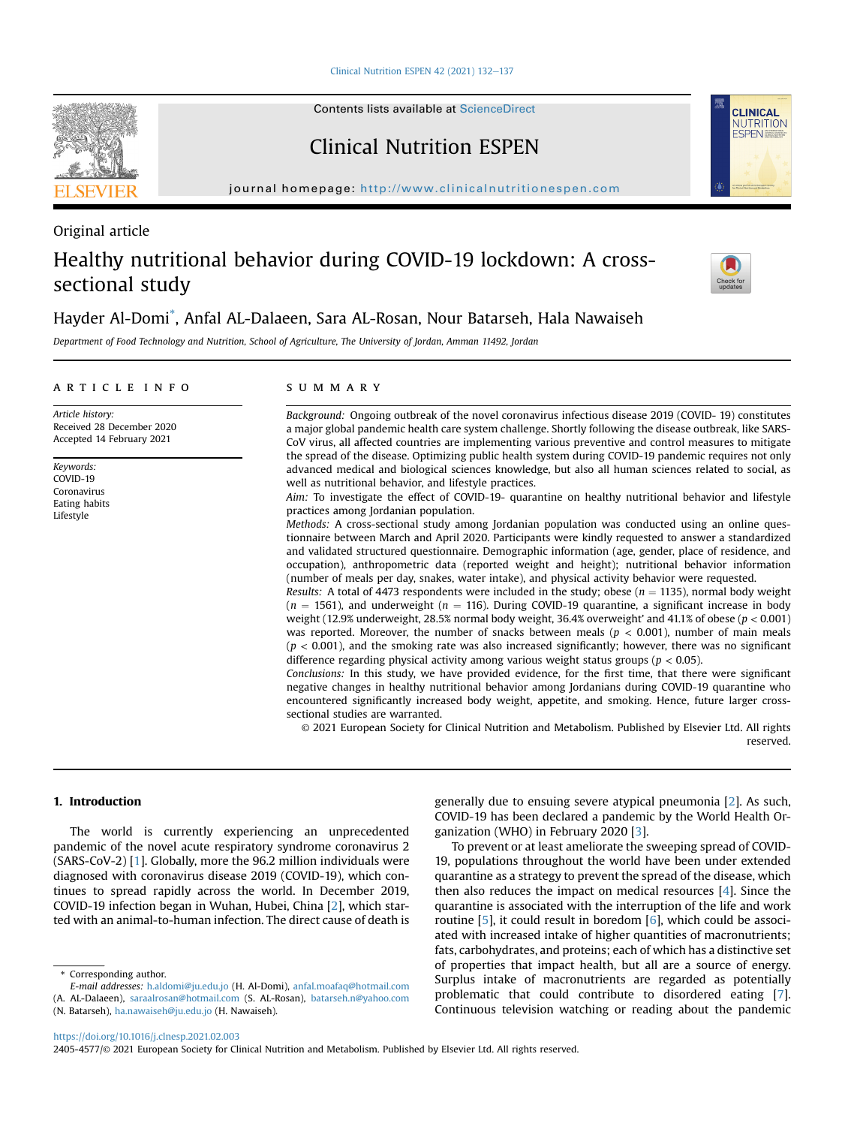Clinical Nutrition ESPEN 42 (2021)  $132-137$  $132-137$ 

Contents lists available at ScienceDirect

Clinical Nutrition ESPEN

journal homepage: <http://www.clinicalnutritionespen.com>

### Original article

# Healthy nutritional behavior during COVID-19 lockdown: A crosssectional study



**CLINICAL NUTRITION FSPEN** 

## Hayder Al-Domi[\\*](#page-0-0) , Anfal AL-Dalaeen, Sara AL-Rosan, Nour Batarseh, Hala Nawaiseh

Department of Food Technology and Nutrition, School of Agriculture, The University of Jordan, Amman 11492, Jordan

#### article info

Article history: Received 28 December 2020 Accepted 14 February 2021

Keywords: COVID-19 Coronavirus Eating habits Lifestyle

#### summary

Background: Ongoing outbreak of the novel coronavirus infectious disease 2019 (COVID- 19) constitutes a major global pandemic health care system challenge. Shortly following the disease outbreak, like SARS-CoV virus, all affected countries are implementing various preventive and control measures to mitigate the spread of the disease. Optimizing public health system during COVID-19 pandemic requires not only advanced medical and biological sciences knowledge, but also all human sciences related to social, as well as nutritional behavior, and lifestyle practices.

Aim: To investigate the effect of COVID-19- quarantine on healthy nutritional behavior and lifestyle practices among Jordanian population.

Methods: A cross-sectional study among Jordanian population was conducted using an online questionnaire between March and April 2020. Participants were kindly requested to answer a standardized and validated structured questionnaire. Demographic information (age, gender, place of residence, and occupation), anthropometric data (reported weight and height); nutritional behavior information (number of meals per day, snakes, water intake), and physical activity behavior were requested.

Results: A total of 4473 respondents were included in the study; obese ( $n = 1135$ ), normal body weight  $(n = 1561)$ , and underweight  $(n = 116)$ . During COVID-19 quarantine, a significant increase in body weight (12.9% underweight, 28.5% normal body weight, 36.4% overweight' and 41.1% of obese (p < 0.001) was reported. Moreover, the number of snacks between meals ( $p < 0.001$ ), number of main meals  $(p < 0.001)$ , and the smoking rate was also increased significantly; however, there was no significant difference regarding physical activity among various weight status groups ( $p < 0.05$ ).

Conclusions: In this study, we have provided evidence, for the first time, that there were significant negative changes in healthy nutritional behavior among Jordanians during COVID-19 quarantine who encountered significantly increased body weight, appetite, and smoking. Hence, future larger crosssectional studies are warranted.

© 2021 European Society for Clinical Nutrition and Metabolism. Published by Elsevier Ltd. All rights reserved.

#### 1. Introduction

The world is currently experiencing an unprecedented pandemic of the novel acute respiratory syndrome coronavirus 2 (SARS-CoV-2) [\[1](#page-4-0)]. Globally, more the 96.2 million individuals were diagnosed with coronavirus disease 2019 (COVID-19), which continues to spread rapidly across the world. In December 2019, COVID-19 infection began in Wuhan, Hubei, China [[2](#page-4-1)], which started with an animal-to-human infection. The direct cause of death is

generally due to ensuing severe atypical pneumonia [[2](#page-4-1)]. As such, COVID-19 has been declared a pandemic by the World Health Organization (WHO) in February 2020 [[3\]](#page-4-2).

To prevent or at least ameliorate the sweeping spread of COVID-19, populations throughout the world have been under extended quarantine as a strategy to prevent the spread of the disease, which then also reduces the impact on medical resources [[4](#page-4-3)]. Since the quarantine is associated with the interruption of the life and work routine [[5\]](#page-4-4), it could result in boredom [\[6\]](#page-4-5), which could be associated with increased intake of higher quantities of macronutrients; fats, carbohydrates, and proteins; each of which has a distinctive set of properties that impact health, but all are a source of energy. Surplus intake of macronutrients are regarded as potentially problematic that could contribute to disordered eating [\[7\]](#page-4-6). Continuous television watching or reading about the pandemic

<span id="page-0-0"></span>\* Corresponding author.

<https://doi.org/10.1016/j.clnesp.2021.02.003>



E-mail addresses: [h.aldomi@ju.edu.jo](mailto:h.aldomi@ju.edu.jo) (H. Al-Domi), [anfal.moafaq@hotmail.com](mailto:anfal.moafaq@hotmail.com) (A. AL-Dalaeen), [saraalrosan@hotmail.com](mailto:saraalrosan@hotmail.com) (S. AL-Rosan), [batarseh.n@yahoo.com](mailto:batarseh.n@yahoo.com) (N. Batarseh), [ha.nawaiseh@ju.edu.jo](mailto:ha.nawaiseh@ju.edu.jo) (H. Nawaiseh).

<sup>2405-4577/</sup>© 2021 European Society for Clinical Nutrition and Metabolism. Published by Elsevier Ltd. All rights reserved.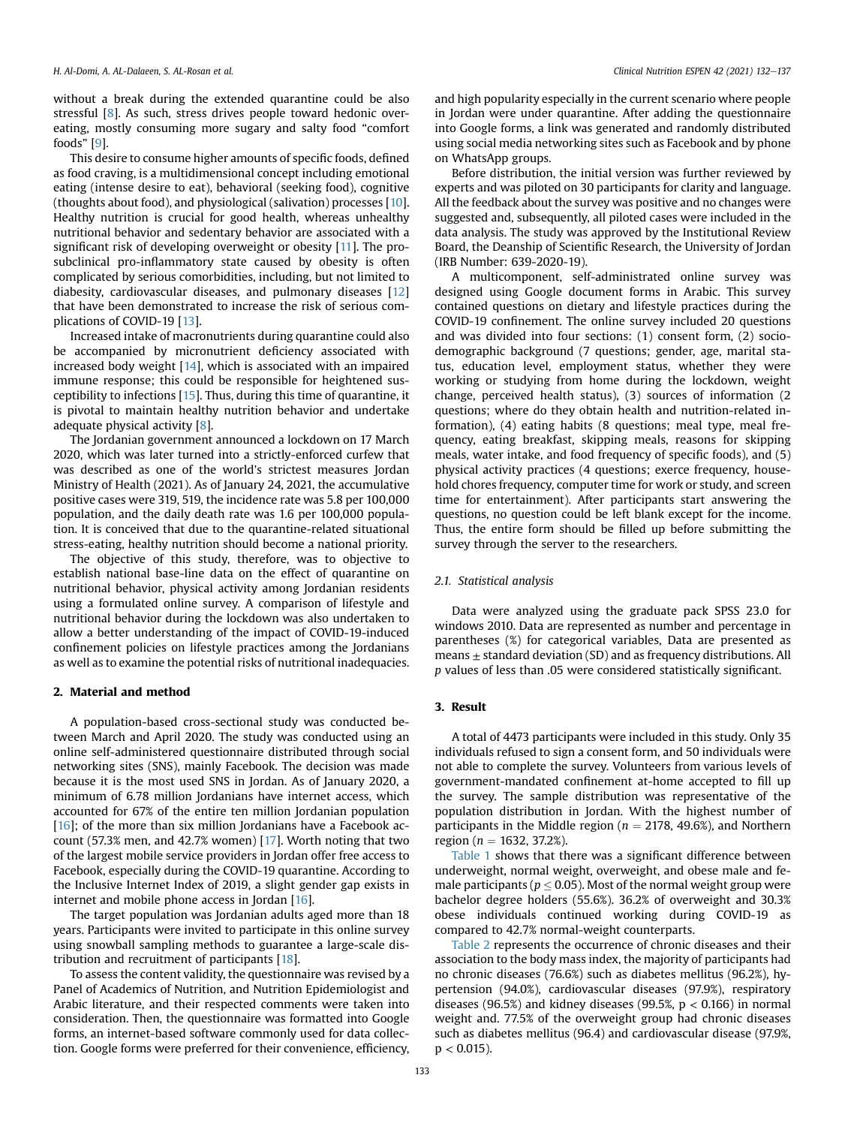without a break during the extended quarantine could be also stressful [[8](#page-4-7)]. As such, stress drives people toward hedonic overeating, mostly consuming more sugary and salty food "comfort foods" [\[9\]](#page-4-8).

This desire to consume higher amounts of specific foods, defined as food craving, is a multidimensional concept including emotional eating (intense desire to eat), behavioral (seeking food), cognitive (thoughts about food), and physiological (salivation) processes [[10\]](#page-4-9). Healthy nutrition is crucial for good health, whereas unhealthy nutritional behavior and sedentary behavior are associated with a significant risk of developing overweight or obesity [[11](#page-4-10)]. The prosubclinical pro-inflammatory state caused by obesity is often complicated by serious comorbidities, including, but not limited to diabesity, cardiovascular diseases, and pulmonary diseases [[12\]](#page-4-11) that have been demonstrated to increase the risk of serious complications of COVID-19 [\[13](#page-4-12)].

Increased intake of macronutrients during quarantine could also be accompanied by micronutrient deficiency associated with increased body weight [[14\]](#page-4-13), which is associated with an impaired immune response; this could be responsible for heightened susceptibility to infections [[15\]](#page-4-14). Thus, during this time of quarantine, it is pivotal to maintain healthy nutrition behavior and undertake adequate physical activity [[8\]](#page-4-7).

The Jordanian government announced a lockdown on 17 March 2020, which was later turned into a strictly-enforced curfew that was described as one of the world's strictest measures Jordan Ministry of Health (2021). As of January 24, 2021, the accumulative positive cases were 319, 519, the incidence rate was 5.8 per 100,000 population, and the daily death rate was 1.6 per 100,000 population. It is conceived that due to the quarantine-related situational stress-eating, healthy nutrition should become a national priority.

The objective of this study, therefore, was to objective to establish national base-line data on the effect of quarantine on nutritional behavior, physical activity among Jordanian residents using a formulated online survey. A comparison of lifestyle and nutritional behavior during the lockdown was also undertaken to allow a better understanding of the impact of COVID-19-induced confinement policies on lifestyle practices among the Jordanians as well as to examine the potential risks of nutritional inadequacies.

#### 2. Material and method

A population-based cross-sectional study was conducted between March and April 2020. The study was conducted using an online self-administered questionnaire distributed through social networking sites (SNS), mainly Facebook. The decision was made because it is the most used SNS in Jordan. As of January 2020, a minimum of 6.78 million Jordanians have internet access, which accounted for 67% of the entire ten million Jordanian population  $[16]$  $[16]$  $[16]$ ; of the more than six million Jordanians have a Facebook account (57.3% men, and 42.7% women) [\[17\]](#page-4-16). Worth noting that two of the largest mobile service providers in Jordan offer free access to Facebook, especially during the COVID-19 quarantine. According to the Inclusive Internet Index of 2019, a slight gender gap exists in internet and mobile phone access in Jordan [[16\]](#page-4-15).

The target population was Jordanian adults aged more than 18 years. Participants were invited to participate in this online survey using snowball sampling methods to guarantee a large-scale distribution and recruitment of participants [\[18\]](#page-4-17).

To assess the content validity, the questionnaire was revised by a Panel of Academics of Nutrition, and Nutrition Epidemiologist and Arabic literature, and their respected comments were taken into consideration. Then, the questionnaire was formatted into Google forms, an internet-based software commonly used for data collection. Google forms were preferred for their convenience, efficiency, and high popularity especially in the current scenario where people in Jordan were under quarantine. After adding the questionnaire into Google forms, a link was generated and randomly distributed using social media networking sites such as Facebook and by phone on WhatsApp groups.

Before distribution, the initial version was further reviewed by experts and was piloted on 30 participants for clarity and language. All the feedback about the survey was positive and no changes were suggested and, subsequently, all piloted cases were included in the data analysis. The study was approved by the Institutional Review Board, the Deanship of Scientific Research, the University of Jordan (IRB Number: 639-2020-19).

A multicomponent, self-administrated online survey was designed using Google document forms in Arabic. This survey contained questions on dietary and lifestyle practices during the COVID-19 confinement. The online survey included 20 questions and was divided into four sections: (1) consent form, (2) sociodemographic background (7 questions; gender, age, marital status, education level, employment status, whether they were working or studying from home during the lockdown, weight change, perceived health status), (3) sources of information (2 questions; where do they obtain health and nutrition-related information), (4) eating habits (8 questions; meal type, meal frequency, eating breakfast, skipping meals, reasons for skipping meals, water intake, and food frequency of specific foods), and (5) physical activity practices (4 questions; exerce frequency, household chores frequency, computer time for work or study, and screen time for entertainment). After participants start answering the questions, no question could be left blank except for the income. Thus, the entire form should be filled up before submitting the survey through the server to the researchers.

#### 2.1. Statistical analysis

Data were analyzed using the graduate pack SPSS 23.0 for windows 2010. Data are represented as number and percentage in parentheses (%) for categorical variables, Data are presented as means  $\pm$  standard deviation (SD) and as frequency distributions. All p values of less than .05 were considered statistically significant.

#### 3. Result

A total of 4473 participants were included in this study. Only 35 individuals refused to sign a consent form, and 50 individuals were not able to complete the survey. Volunteers from various levels of government-mandated confinement at-home accepted to fill up the survey. The sample distribution was representative of the population distribution in Jordan. With the highest number of participants in the Middle region ( $n = 2178, 49.6\%$ ), and Northern region ( $n = 1632, 37.2%$ ).

[Table 1](#page-2-0) shows that there was a significant difference between underweight, normal weight, overweight, and obese male and female participants ( $p \leq 0.05$ ). Most of the normal weight group were bachelor degree holders (55.6%). 36.2% of overweight and 30.3% obese individuals continued working during COVID-19 as compared to 42.7% normal-weight counterparts.

[Table 2](#page-2-1) represents the occurrence of chronic diseases and their association to the body mass index, the majority of participants had no chronic diseases (76.6%) such as diabetes mellitus (96.2%), hypertension (94.0%), cardiovascular diseases (97.9%), respiratory diseases (96.5%) and kidney diseases (99.5%,  $p < 0.166$ ) in normal weight and. 77.5% of the overweight group had chronic diseases such as diabetes mellitus (96.4) and cardiovascular disease (97.9%,  $p < 0.015$ ).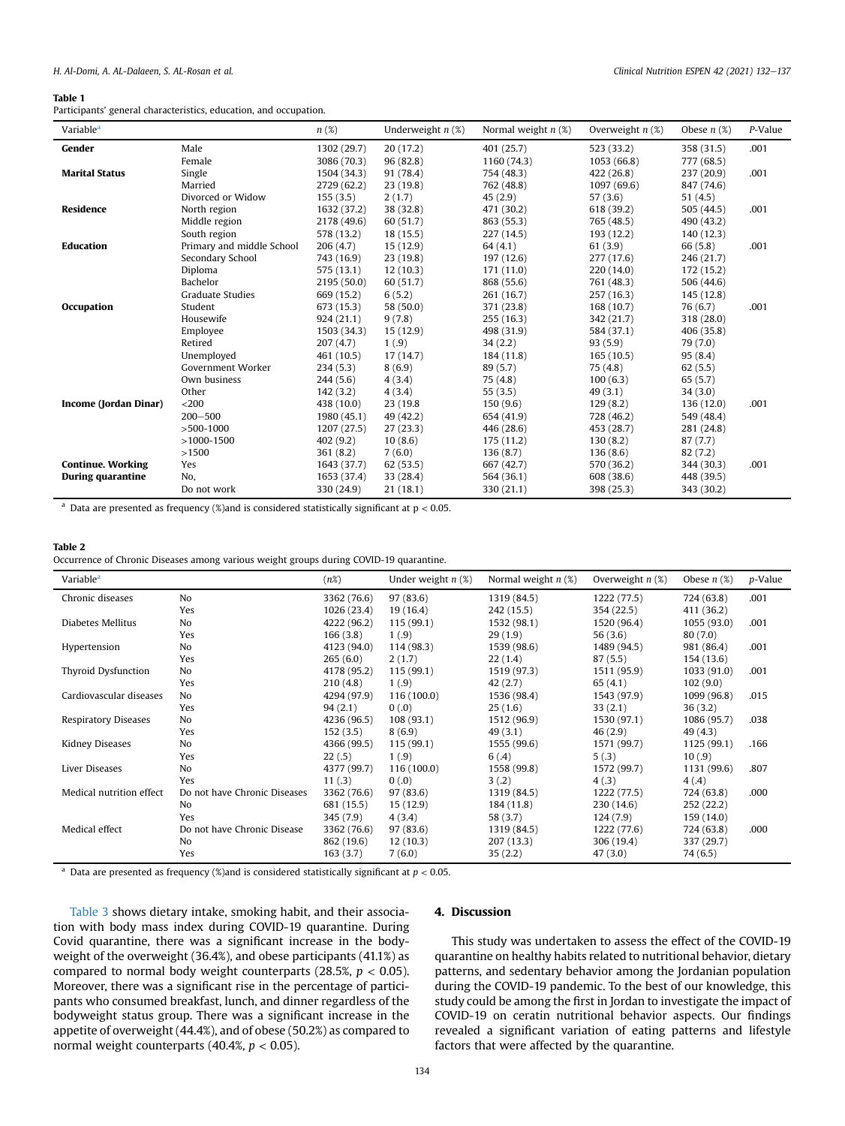#### H. Al-Domi, A. AL-Dalaeen, S. AL-Rosan et al. Clinical Nutrition ESPEN 42 (2021) 132-137

#### <span id="page-2-0"></span>Table 1

Participants' general characteristics, education, and occupation.

| Variable <sup>a</sup>    |                           | $n(\%)$     | Underweight $n$ (%) | Normal weight $n$ (%) | Overweight $n$ (%) | Obese $n$ (%) | P-Value |
|--------------------------|---------------------------|-------------|---------------------|-----------------------|--------------------|---------------|---------|
| Gender                   | Male                      | 1302 (29.7) | 20(17.2)            | 401 (25.7)            | 523 (33.2)         | 358 (31.5)    | .001    |
|                          | Female                    | 3086 (70.3) | 96(82.8)            | 1160 (74.3)           | 1053 (66.8)        | 777 (68.5)    |         |
| <b>Marital Status</b>    | Single                    | 1504 (34.3) | 91 (78.4)           | 754 (48.3)            | 422(26.8)          | 237 (20.9)    | .001    |
|                          | Married                   | 2729 (62.2) | 23(19.8)            | 762 (48.8)            | 1097 (69.6)        | 847 (74.6)    |         |
|                          | Divorced or Widow         | 155(3.5)    | 2(1.7)              | 45(2.9)               | 57(3.6)            | 51(4.5)       |         |
| Residence                | North region              | 1632 (37.2) | 38 (32.8)           | 471 (30.2)            | 618 (39.2)         | 505 (44.5)    | .001    |
|                          | Middle region             | 2178 (49.6) | 60(51.7)            | 863 (55.3)            | 765 (48.5)         | 490 (43.2)    |         |
|                          | South region              | 578 (13.2)  | 18(15.5)            | 227 (14.5)            | 193 (12.2)         | 140 (12.3)    |         |
| Education                | Primary and middle School | 206(4.7)    | 15(12.9)            | 64(4.1)               | 61(3.9)            | 66 (5.8)      | .001    |
|                          | Secondary School          | 743 (16.9)  | 23(19.8)            | 197 (12.6)            | 277 (17.6)         | 246 (21.7)    |         |
|                          | Diploma                   | 575(13.1)   | 12(10.3)            | 171 (11.0)            | 220 (14.0)         | 172 (15.2)    |         |
|                          | Bachelor                  | 2195 (50.0) | 60(51.7)            | 868 (55.6)            | 761 (48.3)         | 506 (44.6)    |         |
|                          | <b>Graduate Studies</b>   | 669 (15.2)  | 6(5.2)              | 261 (16.7)            | 257 (16.3)         | 145 (12.8)    |         |
| Occupation               | Student                   | 673 (15.3)  | 58 (50.0)           | 371 (23.8)            | 168 (10.7)         | 76 (6.7)      | .001    |
|                          | Housewife                 | 924(21.1)   | 9(7.8)              | 255(16.3)             | 342 (21.7)         | 318 (28.0)    |         |
|                          | Employee                  | 1503 (34.3) | 15(12.9)            | 498 (31.9)            | 584 (37.1)         | 406 (35.8)    |         |
|                          | Retired                   | 207(4.7)    | 1(.9)               | 34(2.2)               | 93(5.9)            | 79 (7.0)      |         |
|                          | Unemployed                | 461 (10.5)  | 17(14.7)            | 184 (11.8)            | 165(10.5)          | 95(8.4)       |         |
|                          | Government Worker         | 234(5.3)    | 8(6.9)              | 89(5.7)               | 75(4.8)            | 62(5.5)       |         |
|                          | Own business              | 244(5.6)    | 4(3.4)              | 75(4.8)               | 100(6.3)           | 65(5.7)       |         |
|                          | Other                     | 142(3.2)    | 4(3.4)              | 55(3.5)               | 49(3.1)            | 34(3.0)       |         |
| Income (Jordan Dinar)    | $<$ 200                   | 438 (10.0)  | 23 (19.8)           | 150(9.6)              | 129(8.2)           | 136 (12.0)    | .001    |
|                          | $200 - 500$               | 1980 (45.1) | 49(42.2)            | 654 (41.9)            | 728 (46.2)         | 549 (48.4)    |         |
|                          | $>500-1000$               | 1207(27.5)  | 27(23.3)            | 446 (28.6)            | 453 (28.7)         | 281 (24.8)    |         |
|                          | $>1000-1500$              | 402(9.2)    | 10(8.6)             | 175 (11.2)            | 130(8.2)           | 87(7.7)       |         |
|                          | >1500                     | 361(8.2)    | 7(6.0)              | 136(8.7)              | 136(8.6)           | 82(7.2)       |         |
| <b>Continue. Working</b> | Yes                       | 1643 (37.7) | 62(53.5)            | 667 (42.7)            | 570 (36.2)         | 344 (30.3)    | .001    |
| During quarantine        | No,                       | 1653 (37.4) | 33(28.4)            | 564 (36.1)            | 608 (38.6)         | 448 (39.5)    |         |
|                          | Do not work               | 330 (24.9)  | 21(18.1)            | 330 (21.1)            | 398 (25.3)         | 343 (30.2)    |         |

<span id="page-2-2"></span><sup>a</sup> Data are presented as frequency (%) and is considered statistically significant at  $p < 0.05$ .

#### <span id="page-2-1"></span>Table 2

Occurrence of Chronic Diseases among various weight groups during COVID-19 quarantine.

| Variable <sup>a</sup>      |                              | $(n\%)$     | Under weight $n$ $(\%)$ | Normal weight $n$ (%) | Overweight $n$ $(\%)$ | Obese $n$ (%) | <i>p</i> -Value |
|----------------------------|------------------------------|-------------|-------------------------|-----------------------|-----------------------|---------------|-----------------|
| Chronic diseases           | No                           | 3362 (76.6) | 97(83.6)                | 1319 (84.5)           | 1222 (77.5)           | 724 (63.8)    | .001            |
|                            | Yes                          | 1026 (23.4) | 19 (16.4)               | 242 (15.5)            | 354 (22.5)            | 411 (36.2)    |                 |
| Diabetes Mellitus          | No                           | 4222 (96.2) | 115 (99.1)              | 1532 (98.1)           | 1520 (96.4)           | 1055(93.0)    | .001            |
|                            | Yes                          | 166(3.8)    | 1(.9)                   | 29(1.9)               | 56 (3.6)              | 80(7.0)       |                 |
| Hypertension               | No                           | 4123 (94.0) | 114 (98.3)              | 1539 (98.6)           | 1489 (94.5)           | 981 (86.4)    | .001            |
|                            | Yes                          | 265(6.0)    | 2(1.7)                  | 22(1.4)               | 87(5.5)               | 154 (13.6)    |                 |
| <b>Thyroid Dysfunction</b> | No                           | 4178 (95.2) | 115(99.1)               | 1519 (97.3)           | 1511 (95.9)           | 1033 (91.0)   | .001            |
|                            | Yes                          | 210(4.8)    | 1(.9)                   | 42(2.7)               | 65(4.1)               | 102(9.0)      |                 |
| Cardiovascular diseases    | No                           | 4294 (97.9) | 116(100.0)              | 1536 (98.4)           | 1543 (97.9)           | 1099 (96.8)   | .015            |
|                            | Yes                          | 94(2.1)     | (0.0)                   | 25(1.6)               | 33(2.1)               | 36(3.2)       |                 |
| Respiratory Diseases       | No                           | 4236 (96.5) | 108(93.1)               | 1512 (96.9)           | 1530 (97.1)           | 1086 (95.7)   | .038            |
|                            | Yes                          | 152(3.5)    | 8(6.9)                  | 49(3.1)               | 46(2.9)               | 49(4.3)       |                 |
| Kidney Diseases            | No                           | 4366 (99.5) | 115 (99.1)              | 1555 (99.6)           | 1571 (99.7)           | 1125 (99.1)   | .166            |
|                            | Yes                          | 22(.5)      | 1(.9)                   | 6(.4)                 | 5(0.3)                | 10(.9)        |                 |
| Liver Diseases             | No                           | 4377 (99.7) | 116(100.0)              | 1558 (99.8)           | 1572 (99.7)           | 1131 (99.6)   | .807            |
|                            | Yes                          | 11(.3)      | (0.0)                   | 3(.2)                 | 4(.3)                 | 4(0.4)        |                 |
| Medical nutrition effect   | Do not have Chronic Diseases | 3362 (76.6) | 97(83.6)                | 1319 (84.5)           | 1222 (77.5)           | 724 (63.8)    | .000            |
|                            | No                           | 681 (15.5)  | 15(12.9)                | 184 (11.8)            | 230 (14.6)            | 252(22.2)     |                 |
|                            | Yes                          | 345 (7.9)   | 4(3.4)                  | 58 (3.7)              | 124 (7.9)             | 159 (14.0)    |                 |
| Medical effect             | Do not have Chronic Disease  | 3362 (76.6) | 97(83.6)                | 1319 (84.5)           | 1222 (77.6)           | 724 (63.8)    | .000            |
|                            | No                           | 862 (19.6)  | 12(10.3)                | 207 (13.3)            | 306 (19.4)            | 337 (29.7)    |                 |
|                            | Yes                          | 163(3.7)    | 7(6.0)                  | 35(2.2)               | 47 (3.0)              | 74 (6.5)      |                 |

<span id="page-2-3"></span><sup>a</sup> Data are presented as frequency (%) and is considered statistically significant at  $p < 0.05$ .

[Table 3](#page-3-0) shows dietary intake, smoking habit, and their association with body mass index during COVID-19 quarantine. During Covid quarantine, there was a significant increase in the bodyweight of the overweight (36.4%), and obese participants (41.1%) as compared to normal body weight counterparts (28.5%,  $p < 0.05$ ). Moreover, there was a significant rise in the percentage of participants who consumed breakfast, lunch, and dinner regardless of the bodyweight status group. There was a significant increase in the appetite of overweight (44.4%), and of obese (50.2%) as compared to normal weight counterparts (40.4%,  $p < 0.05$ ).

#### 4. Discussion

This study was undertaken to assess the effect of the COVID-19 quarantine on healthy habits related to nutritional behavior, dietary patterns, and sedentary behavior among the Jordanian population during the COVID-19 pandemic. To the best of our knowledge, this study could be among the first in Jordan to investigate the impact of COVID-19 on ceratin nutritional behavior aspects. Our findings revealed a significant variation of eating patterns and lifestyle factors that were affected by the quarantine.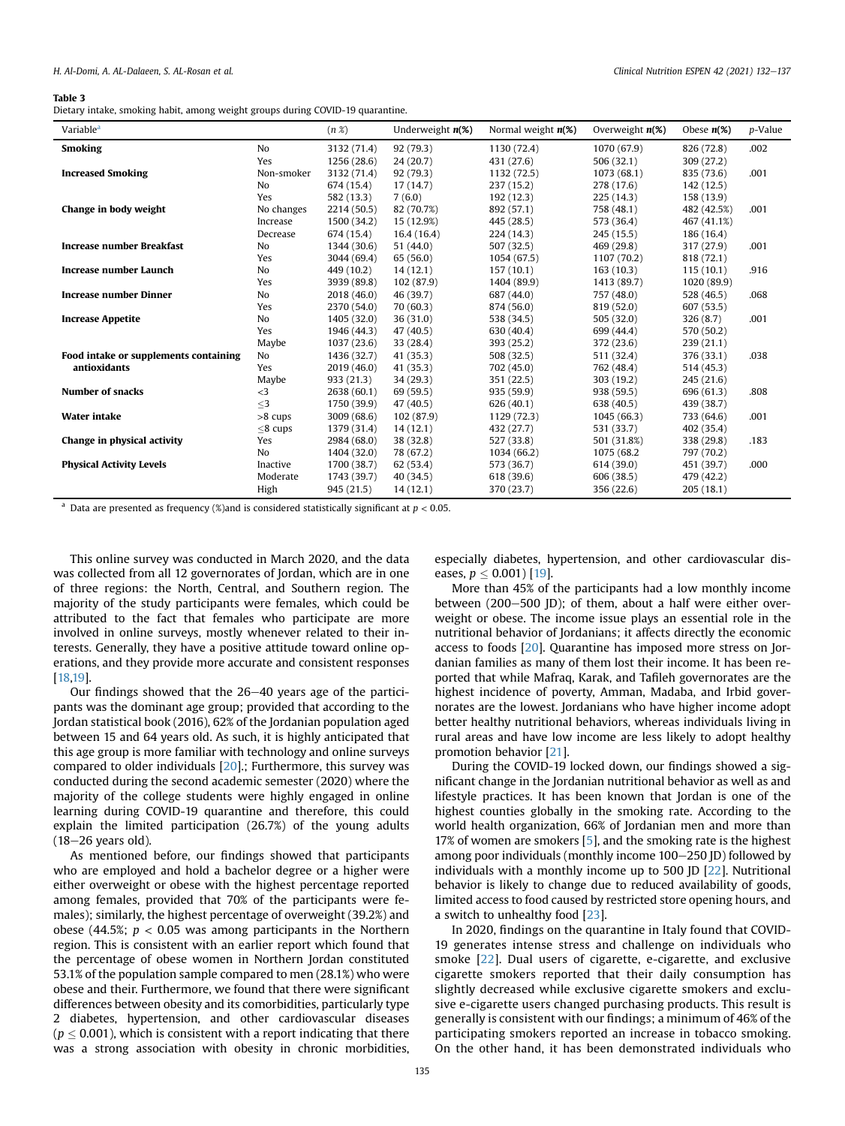#### <span id="page-3-0"></span>Table 3

Dietary intake, smoking habit, among weight groups during COVID-19 quarantine.

| Variable <sup>a</sup>                 |               | $(n \mathcal{X})$ | Underweight $n(\%)$ | Normal weight $n(\%)$ | Overweight $n(\%)$ | Obese $n(\%)$ | p-Value |
|---------------------------------------|---------------|-------------------|---------------------|-----------------------|--------------------|---------------|---------|
| <b>Smoking</b>                        | No            | 3132 (71.4)       | 92(79.3)            | 1130 (72.4)           | 1070 (67.9)        | 826 (72.8)    | .002    |
|                                       | Yes           | 1256 (28.6)       | 24(20.7)            | 431 (27.6)            | 506(32.1)          | 309 (27.2)    |         |
| <b>Increased Smoking</b>              | Non-smoker    | 3132 (71.4)       | 92(79.3)            | 1132 (72.5)           | 1073 (68.1)        | 835 (73.6)    | .001    |
|                                       | No            | 674 (15.4)        | 17(14.7)            | 237 (15.2)            | 278 (17.6)         | 142 (12.5)    |         |
|                                       | Yes           | 582 (13.3)        | 7(6.0)              | 192 (12.3)            | 225(14.3)          | 158 (13.9)    |         |
| Change in body weight                 | No changes    | 2214 (50.5)       | 82 (70.7%)          | 892 (57.1)            | 758 (48.1)         | 482 (42.5%)   | .001    |
|                                       | Increase      | 1500 (34.2)       | 15 (12.9%)          | 445 (28.5)            | 573 (36.4)         | 467 (41.1%)   |         |
|                                       | Decrease      | 674 (15.4)        | 16.4 (16.4)         | 224 (14.3)            | 245 (15.5)         | 186 (16.4)    |         |
| <b>Increase number Breakfast</b>      | No            | 1344 (30.6)       | 51(44.0)            | 507 (32.5)            | 469 (29.8)         | 317 (27.9)    | .001    |
|                                       | Yes           | 3044 (69.4)       | 65(56.0)            | 1054 (67.5)           | 1107 (70.2)        | 818 (72.1)    |         |
| Increase number Launch                | No            | 449 (10.2)        | 14(12.1)            | 157(10.1)             | 163(10.3)          | 115(10.1)     | .916    |
|                                       | Yes           | 3939 (89.8)       | 102 (87.9)          | 1404 (89.9)           | 1413 (89.7)        | 1020 (89.9)   |         |
| <b>Increase number Dinner</b>         | No            | 2018 (46.0)       | 46 (39.7)           | 687 (44.0)            | 757 (48.0)         | 528 (46.5)    | .068    |
|                                       | Yes           | 2370 (54.0)       | 70(60.3)            | 874 (56.0)            | 819 (52.0)         | 607 (53.5)    |         |
| <b>Increase Appetite</b>              | No            | 1405 (32.0)       | 36(31.0)            | 538 (34.5)            | 505 (32.0)         | 326(8.7)      | .001    |
|                                       | Yes           | 1946 (44.3)       | 47(40.5)            | 630 (40.4)            | 699 (44.4)         | 570 (50.2)    |         |
|                                       | Maybe         | 1037(23.6)        | 33 (28.4)           | 393 (25.2)            | 372 (23.6)         | 239(21.1)     |         |
| Food intake or supplements containing | No            | 1436 (32.7)       | 41 (35.3)           | 508 (32.5)            | 511 (32.4)         | 376 (33.1)    | .038    |
| antioxidants                          | Yes           | 2019 (46.0)       | 41 (35.3)           | 702 (45.0)            | 762 (48.4)         | 514 (45.3)    |         |
|                                       | Maybe         | 933(21.3)         | 34(29.3)            | 351 (22.5)            | 303 (19.2)         | 245 (21.6)    |         |
| <b>Number of snacks</b>               | $\leq$ 3      | 2638 (60.1)       | 69 (59.5)           | 935 (59.9)            | 938 (59.5)         | 696 (61.3)    | .808    |
|                                       | $<$ 3         | 1750 (39.9)       | 47(40.5)            | 626(40.1)             | 638 (40.5)         | 439 (38.7)    |         |
| <b>Water intake</b>                   | $>8$ cups     | 3009 (68.6)       | 102 (87.9)          | 1129 (72.3)           | 1045 (66.3)        | 733 (64.6)    | .001    |
|                                       | $\leq$ 8 cups | 1379 (31.4)       | 14(12.1)            | 432 (27.7)            | 531 (33.7)         | 402 (35.4)    |         |
| Change in physical activity           | Yes           | 2984 (68.0)       | 38 (32.8)           | 527 (33.8)            | 501 (31.8%)        | 338 (29.8)    | .183    |
|                                       | No            | 1404 (32.0)       | 78 (67.2)           | 1034 (66.2)           | 1075 (68.2)        | 797 (70.2)    |         |
| <b>Physical Activity Levels</b>       | Inactive      | 1700 (38.7)       | 62 (53.4)           | 573 (36.7)            | 614 (39.0)         | 451 (39.7)    | .000    |
|                                       | Moderate      | 1743 (39.7)       | 40(34.5)            | 618 (39.6)            | 606 (38.5)         | 479 (42.2)    |         |
|                                       | High          | 945(21.5)         | 14(12.1)            | 370 (23.7)            | 356 (22.6)         | 205(18.1)     |         |

<span id="page-3-1"></span><sup>a</sup> Data are presented as frequency (%) and is considered statistically significant at  $p < 0.05$ .

This online survey was conducted in March 2020, and the data was collected from all 12 governorates of Jordan, which are in one of three regions: the North, Central, and Southern region. The majority of the study participants were females, which could be attributed to the fact that females who participate are more involved in online surveys, mostly whenever related to their interests. Generally, they have a positive attitude toward online operations, and they provide more accurate and consistent responses [[18](#page-4-17)[,19\]](#page-5-0).

Our findings showed that the  $26-40$  years age of the participants was the dominant age group; provided that according to the Jordan statistical book (2016), 62% of the Jordanian population aged between 15 and 64 years old. As such, it is highly anticipated that this age group is more familiar with technology and online surveys compared to older individuals [[20](#page-5-1)].; Furthermore, this survey was conducted during the second academic semester (2020) where the majority of the college students were highly engaged in online learning during COVID-19 quarantine and therefore, this could explain the limited participation (26.7%) of the young adults  $(18-26$  years old).

As mentioned before, our findings showed that participants who are employed and hold a bachelor degree or a higher were either overweight or obese with the highest percentage reported among females, provided that 70% of the participants were females); similarly, the highest percentage of overweight (39.2%) and obese (44.5%;  $p < 0.05$  was among participants in the Northern region. This is consistent with an earlier report which found that the percentage of obese women in Northern Jordan constituted 53.1% of the population sample compared to men (28.1%) who were obese and their. Furthermore, we found that there were significant differences between obesity and its comorbidities, particularly type 2 diabetes, hypertension, and other cardiovascular diseases ( $p \leq 0.001$  ), which is consistent with a report indicating that there was a strong association with obesity in chronic morbidities,

especially diabetes, hypertension, and other cardiovascular diseases,  $p \leq 0.001$  [\[19](#page-5-0)].

More than 45% of the participants had a low monthly income between  $(200-500)$  JD); of them, about a half were either overweight or obese. The income issue plays an essential role in the nutritional behavior of Jordanians; it affects directly the economic access to foods [\[20\]](#page-5-1). Quarantine has imposed more stress on Jordanian families as many of them lost their income. It has been reported that while Mafraq, Karak, and Tafileh governorates are the highest incidence of poverty, Amman, Madaba, and Irbid governorates are the lowest. Jordanians who have higher income adopt better healthy nutritional behaviors, whereas individuals living in rural areas and have low income are less likely to adopt healthy promotion behavior [[21\]](#page-5-2).

During the COVID-19 locked down, our findings showed a significant change in the Jordanian nutritional behavior as well as and lifestyle practices. It has been known that Jordan is one of the highest counties globally in the smoking rate. According to the world health organization, 66% of Jordanian men and more than 17% of women are smokers [\[5](#page-4-4)], and the smoking rate is the highest among poor individuals (monthly income 100-250 JD) followed by individuals with a monthly income up to 500 JD [\[22\]](#page-5-3). Nutritional behavior is likely to change due to reduced availability of goods, limited access to food caused by restricted store opening hours, and a switch to unhealthy food [[23](#page-5-4)].

In 2020, findings on the quarantine in Italy found that COVID-19 generates intense stress and challenge on individuals who smoke [[22\]](#page-5-3). Dual users of cigarette, e-cigarette, and exclusive cigarette smokers reported that their daily consumption has slightly decreased while exclusive cigarette smokers and exclusive e-cigarette users changed purchasing products. This result is generally is consistent with our findings; a minimum of 46% of the participating smokers reported an increase in tobacco smoking. On the other hand, it has been demonstrated individuals who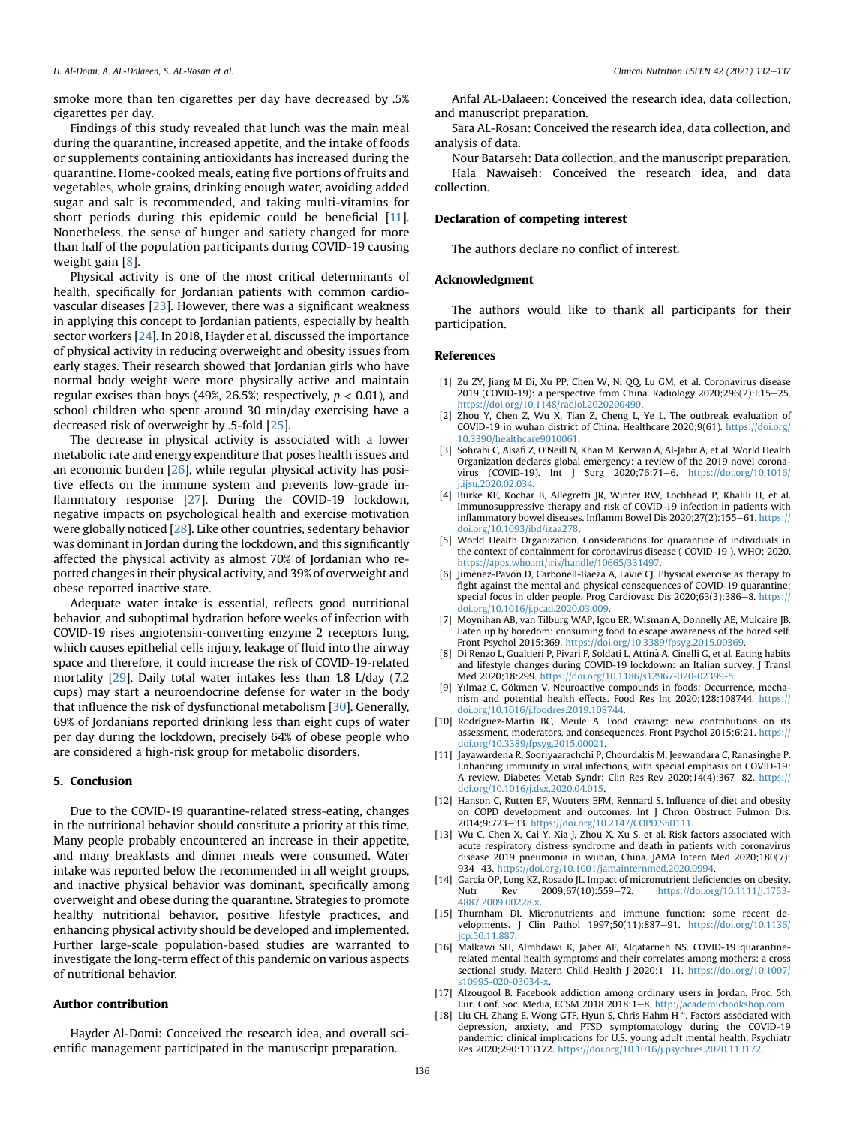smoke more than ten cigarettes per day have decreased by .5% cigarettes per day.

Findings of this study revealed that lunch was the main meal during the quarantine, increased appetite, and the intake of foods or supplements containing antioxidants has increased during the quarantine. Home-cooked meals, eating five portions of fruits and vegetables, whole grains, drinking enough water, avoiding added sugar and salt is recommended, and taking multi-vitamins for short periods during this epidemic could be beneficial [[11\]](#page-4-10). Nonetheless, the sense of hunger and satiety changed for more than half of the population participants during COVID-19 causing weight gain [[8\]](#page-4-7).

Physical activity is one of the most critical determinants of health, specifically for Jordanian patients with common cardiovascular diseases [[23](#page-5-4)]. However, there was a significant weakness in applying this concept to Jordanian patients, especially by health sector workers [[24](#page-5-5)]. In 2018, Hayder et al. discussed the importance of physical activity in reducing overweight and obesity issues from early stages. Their research showed that Jordanian girls who have normal body weight were more physically active and maintain regular excises than boys (49%, 26.5%; respectively,  $p < 0.01$ ), and school children who spent around 30 min/day exercising have a decreased risk of overweight by .5-fold [[25](#page-5-6)].

The decrease in physical activity is associated with a lower metabolic rate and energy expenditure that poses health issues and an economic burden [[26](#page-5-7)], while regular physical activity has positive effects on the immune system and prevents low-grade in-flammatory response [\[27\]](#page-5-8). During the COVID-19 lockdown, negative impacts on psychological health and exercise motivation were globally noticed [[28](#page-5-9)]. Like other countries, sedentary behavior was dominant in Jordan during the lockdown, and this significantly affected the physical activity as almost 70% of Jordanian who reported changes in their physical activity, and 39% of overweight and obese reported inactive state.

Adequate water intake is essential, reflects good nutritional behavior, and suboptimal hydration before weeks of infection with COVID-19 rises angiotensin-converting enzyme 2 receptors lung, which causes epithelial cells injury, leakage of fluid into the airway space and therefore, it could increase the risk of COVID-19-related mortality [\[29\]](#page-5-10). Daily total water intakes less than 1.8 L/day (7.2 cups) may start a neuroendocrine defense for water in the body that influence the risk of dysfunctional metabolism [[30](#page-5-11)]. Generally, 69% of Jordanians reported drinking less than eight cups of water per day during the lockdown, precisely 64% of obese people who are considered a high-risk group for metabolic disorders.

#### 5. Conclusion

Due to the COVID-19 quarantine-related stress-eating, changes in the nutritional behavior should constitute a priority at this time. Many people probably encountered an increase in their appetite, and many breakfasts and dinner meals were consumed. Water intake was reported below the recommended in all weight groups, and inactive physical behavior was dominant, specifically among overweight and obese during the quarantine. Strategies to promote healthy nutritional behavior, positive lifestyle practices, and enhancing physical activity should be developed and implemented. Further large-scale population-based studies are warranted to investigate the long-term effect of this pandemic on various aspects of nutritional behavior.

#### Author contribution

Hayder Al-Domi: Conceived the research idea, and overall scientific management participated in the manuscript preparation.

Anfal AL-Dalaeen: Conceived the research idea, data collection, and manuscript preparation.

Sara AL-Rosan: Conceived the research idea, data collection, and analysis of data.

Nour Batarseh: Data collection, and the manuscript preparation. Hala Nawaiseh: Conceived the research idea, and data collection.

#### Declaration of competing interest

The authors declare no conflict of interest.

#### Acknowledgment

The authors would like to thank all participants for their participation.

#### References

- <span id="page-4-0"></span>[1] Zu ZY, Jiang M Di, Xu PP, Chen W, Ni QQ, Lu GM, et al. Coronavirus disease 2019 (COVID-19): a perspective from China. Radiology 2020;296(2):E15-25. <https://doi.org/10.1148/radiol.2020200490>.
- <span id="page-4-1"></span>[2] Zhou Y, Chen Z, Wu X, Tian Z, Cheng L, Ye L. The outbreak evaluation of COVID-19 in wuhan district of China. Healthcare 2020;9(61). [https://doi.org/](https://doi.org/10.3390/healthcare9010061) [10.3390/healthcare9010061](https://doi.org/10.3390/healthcare9010061).
- <span id="page-4-2"></span>[3] Sohrabi C, Alsafi Z, O'Neill N, Khan M, Kerwan A, Al-Jabir A, et al. World Health Organization declares global emergency: a review of the 2019 novel coronavirus (COVID-19). Int J Surg 2020;76:71-6. [https://doi.org/10.1016/](https://doi.org/10.1016/j.ijsu.2020.02.034) [j.ijsu.2020.02.034](https://doi.org/10.1016/j.ijsu.2020.02.034).
- <span id="page-4-3"></span>[4] Burke KE, Kochar B, Allegretti JR, Winter RW, Lochhead P, Khalili H, et al. Immunosuppressive therapy and risk of COVID-19 infection in patients with inflammatory bowel diseases. Inflamm Bowel Dis  $2020;27(2):155-61$ . [https://](https://doi.org/10.1093/ibd/izaa278) [doi.org/10.1093/ibd/izaa278.](https://doi.org/10.1093/ibd/izaa278)
- <span id="page-4-4"></span>[5] World Health Organization. Considerations for quarantine of individuals in the context of containment for coronavirus disease ( COVID-19 ). WHO; 2020. [https://apps.who.int/iris/handle/10665/331497.](https://apps.who.int/iris/handle/10665/331497)
- <span id="page-4-5"></span>[6] Jiménez-Pavón D, Carbonell-Baeza A, Lavie CJ. Physical exercise as therapy to fight against the mental and physical consequences of COVID-19 quarantine: special focus in older people. Prog Cardiovasc Dis  $2020:63(3):386-8$ . [https://](https://doi.org/10.1016/j.pcad.2020.03.009) [doi.org/10.1016/j.pcad.2020.03.009](https://doi.org/10.1016/j.pcad.2020.03.009).
- <span id="page-4-6"></span>[7] Moynihan AB, van Tilburg WAP, Igou ER, Wisman A, Donnelly AE, Mulcaire JB. Eaten up by boredom: consuming food to escape awareness of the bored self. Front Psychol 2015:369. <https://doi.org/10.3389/fpsyg.2015.00369>.
- <span id="page-4-7"></span>[8] Di Renzo L, Gualtieri P, Pivari F, Soldati L, Attin a A, Cinelli G, et al. Eating habits and lifestyle changes during COVID-19 lockdown: an Italian survey. J Transl Med 2020;18:299. <https://doi.org/10.1186/s12967-020-02399-5>.
- <span id="page-4-8"></span>[9] Yılmaz C, Gökmen V. Neuroactive compounds in foods: Occurrence, mechanism and potential health effects. Food Res Int 2020;128:108744. [https://](https://doi.org/10.1016/j.foodres.2019.108744) [doi.org/10.1016/j.foodres.2019.108744.](https://doi.org/10.1016/j.foodres.2019.108744)
- <span id="page-4-9"></span>[10] Rodríguez-Martín BC, Meule A. Food craving: new contributions on its assessment, moderators, and consequences. Front Psychol 2015;6:21. [https://](https://doi.org/10.3389/fpsyg.2015.00021) [doi.org/10.3389/fpsyg.2015.00021](https://doi.org/10.3389/fpsyg.2015.00021).
- <span id="page-4-10"></span>[11] Jayawardena R, Sooriyaarachchi P, Chourdakis M, Jeewandara C, Ranasinghe P. Enhancing immunity in viral infections, with special emphasis on COVID-19: A review. Diabetes Metab Syndr: Clin Res Rev 2020;14(4):367-82. [https://](https://doi.org/10.1016/j.dsx.2020.04.015) [doi.org/10.1016/j.dsx.2020.04.015.](https://doi.org/10.1016/j.dsx.2020.04.015)
- <span id="page-4-11"></span>[12] Hanson C, Rutten EP, Wouters EFM, Rennard S. Influence of diet and obesity on COPD development and outcomes. Int J Chron Obstruct Pulmon Dis. 2014;9:723e33. [https://doi.org/10.2147/COPD.S50111.](https://doi.org/10.2147/COPD.S50111)
- <span id="page-4-12"></span>[13] Wu C, Chen X, Cai Y, Xia J, Zhou X, Xu S, et al. Risk factors associated with acute respiratory distress syndrome and death in patients with coronavirus disease 2019 pneumonia in wuhan, China. JAMA Intern Med 2020;180(7): 934-43. <https://doi.org/10.1001/jamainternmed.2020.0994>.
- <span id="page-4-13"></span>[14] García OP, Long KZ, Rosado JL. Impact of micronutrient deficiencies on obesity. Nutr Rev 2009;67(10):559-72. [https://doi.org/10.1111/j.1753-](https://doi.org/10.1111/j.1753-4887.2009.00228.x) [4887.2009.00228.x](https://doi.org/10.1111/j.1753-4887.2009.00228.x).
- <span id="page-4-14"></span>[15] Thurnham DI. Micronutrients and immune function: some recent developments. J Clin Pathol 1997;50(11):887-91. [https://doi.org/10.1136/](https://doi.org/10.1136/jcp.50.11.887) icp.50.11.887
- <span id="page-4-15"></span>[16] Malkawi SH, Almhdawi K, Jaber AF, Alqatarneh NS. COVID-19 quarantinerelated mental health symptoms and their correlates among mothers: a cross sectional study. Matern Child Health J 2020:1-11. [https://doi.org/10.1007/](https://doi.org/10.1007/s10995-020-03034-x) [s10995-020-03034-x.](https://doi.org/10.1007/s10995-020-03034-x)
- <span id="page-4-16"></span>[17] Alzougool B. Facebook addiction among ordinary users in Jordan. Proc. 5th Eur. Conf. Soc. Media, ECSM 2018 2018:1-8. http://academicbookshop.com
- <span id="page-4-17"></span>[18] Liu CH, Zhang E, Wong GTF, Hyun S, Chris Hahm H ". Factors associated with depression, anxiety, and PTSD symptomatology during the COVID-19 pandemic: clinical implications for U.S. young adult mental health. Psychiatr Res 2020;290:113172. [https://doi.org/10.1016/j.psychres.2020.113172.](https://doi.org/10.1016/j.psychres.2020.113172)